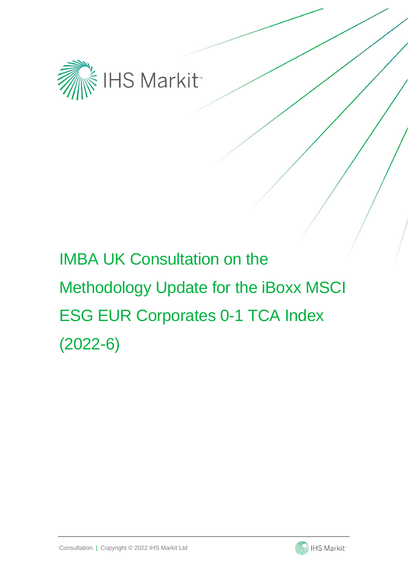

# IMBA UK Consultation on the Methodology Update for the iBoxx MSCI ESG EUR Corporates 0-1 TCA Index (2022-6)

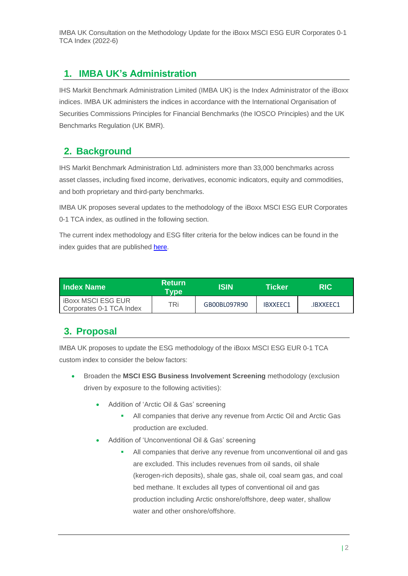IMBA UK Consultation on the Methodology Update for the iBoxx MSCI ESG EUR Corporates 0-1 TCA Index (2022-6)

#### **1. IMBA UK's Administration**

IHS Markit Benchmark Administration Limited (IMBA UK) is the Index Administrator of the iBoxx indices. IMBA UK administers the indices in accordance with the International Organisation of Securities Commissions Principles for Financial Benchmarks (the IOSCO Principles) and the UK Benchmarks Regulation (UK BMR).

## **2. Background**

IHS Markit Benchmark Administration Ltd. administers more than 33,000 benchmarks across asset classes, including fixed income, derivatives, economic indicators, equity and commodities, and both proprietary and third-party benchmarks.

IMBA UK proposes several updates to the methodology of the iBoxx MSCI ESG EUR Corporates 0-1 TCA index, as outlined in the following section.

The current index methodology and ESG filter criteria for the below indices can be found in the index guides that are published [here.](https://www.markit.com/Documentation/Product/IBoxx/)

| ⊟ndex Name⊹                                           | <b>Return</b><br>Type' | ISIN         | Ticker          | RIC       |
|-------------------------------------------------------|------------------------|--------------|-----------------|-----------|
| <b>iBoxx MSCI ESG EUR</b><br>Corporates 0-1 TCA Index | TRi.                   | GB00BL097R90 | <b>IBXXEEC1</b> | .IBXXEEC1 |

#### **3. Proposal**

IMBA UK proposes to update the ESG methodology of the iBoxx MSCI ESG EUR 0-1 TCA custom index to consider the below factors:

- Broaden the **MSCI ESG Business Involvement Screening** methodology (exclusion driven by exposure to the following activities):
	- Addition of 'Arctic Oil & Gas' screening
		- **EXECUTE:** All companies that derive any revenue from Arctic Oil and Arctic Gas production are excluded.
	- Addition of 'Unconventional Oil & Gas' screening
		- All companies that derive any revenue from unconventional oil and gas are excluded. This includes revenues from oil sands, oil shale (kerogen-rich deposits), shale gas, shale oil, coal seam gas, and coal bed methane. It excludes all types of conventional oil and gas production including Arctic onshore/offshore, deep water, shallow water and other onshore/offshore.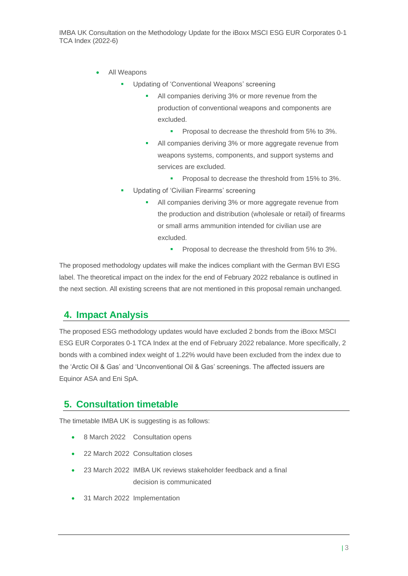- All Weapons
	- Updating of 'Conventional Weapons' screening
		- All companies deriving 3% or more revenue from the production of conventional weapons and components are excluded.
			- **•** Proposal to decrease the threshold from 5% to 3%.
		- All companies deriving 3% or more aggregate revenue from weapons systems, components, and support systems and services are excluded.
			- Proposal to decrease the threshold from 15% to 3%.
	- Updating of 'Civilian Firearms' screening
		- All companies deriving 3% or more aggregate revenue from the production and distribution (wholesale or retail) of firearms or small arms ammunition intended for civilian use are excluded.
			- **•** Proposal to decrease the threshold from 5% to 3%.

The proposed methodology updates will make the indices compliant with the German BVI ESG label. The theoretical impact on the index for the end of February 2022 rebalance is outlined in the next section. All existing screens that are not mentioned in this proposal remain unchanged.

#### **4. Impact Analysis**

The proposed ESG methodology updates would have excluded 2 bonds from the iBoxx MSCI ESG EUR Corporates 0-1 TCA Index at the end of February 2022 rebalance. More specifically, 2 bonds with a combined index weight of 1.22% would have been excluded from the index due to the 'Arctic Oil & Gas' and 'Unconventional Oil & Gas' screenings. The affected issuers are Equinor ASA and Eni SpA.

#### **5. Consultation timetable**

The timetable IMBA UK is suggesting is as follows:

- 8 March 2022 Consultation opens
- 22 March 2022 Consultation closes
- 23 March 2022 IMBA UK reviews stakeholder feedback and a final decision is communicated
- 31 March 2022 Implementation